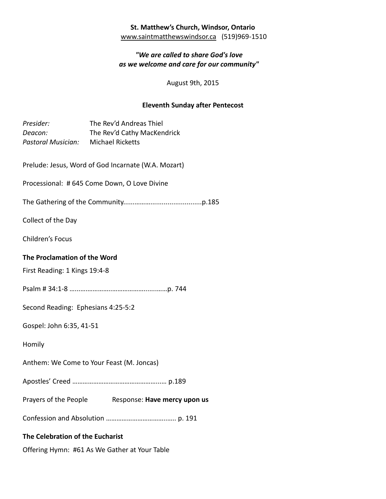### **St. Matthew's Church, Windsor, Ontario** [www.saintmatthewswindsor.ca](http://www.saintmatthewswindsor.ca/) (519)969-1510

# *"We are called to share God's love as we welcome and care for our community"*

August 9th, 2015

# **Eleventh Sunday after Pentecost**

| Presider:<br>Deacon:<br>Pastoral Musician: Michael Ricketts   | The Rev'd Andreas Thiel<br>The Rev'd Cathy MacKendrick |
|---------------------------------------------------------------|--------------------------------------------------------|
|                                                               | Prelude: Jesus, Word of God Incarnate (W.A. Mozart)    |
| Processional: # 645 Come Down, O Love Divine                  |                                                        |
|                                                               |                                                        |
| Collect of the Day                                            |                                                        |
| <b>Children's Focus</b>                                       |                                                        |
| The Proclamation of the Word<br>First Reading: 1 Kings 19:4-8 |                                                        |
|                                                               |                                                        |
| Second Reading: Ephesians 4:25-5:2                            |                                                        |
| Gospel: John 6:35, 41-51                                      |                                                        |
| Homily                                                        |                                                        |
| Anthem: We Come to Your Feast (M. Joncas)                     |                                                        |
|                                                               |                                                        |
|                                                               | Prayers of the People Response: Have mercy upon us     |
|                                                               |                                                        |
| The Celebration of the Eucharist                              |                                                        |
| Offering Hymn: #61 As We Gather at Your Table                 |                                                        |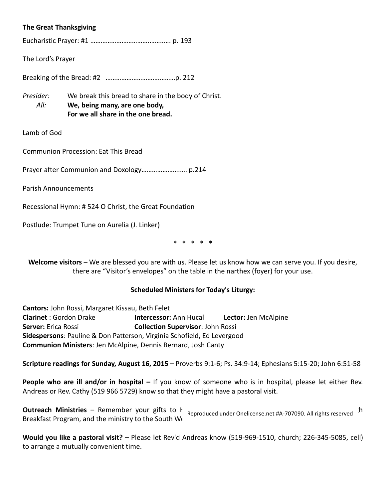#### **The Great Thanksgiving**

Eucharistic Prayer: #1 …………………………….……..…. p. 193

The Lord's Prayer

Breaking of the Bread: #2 ………………………….………p. 212

*Presider:* We break this bread to share in the body of Christ.  *All:* **We, being many, are one body, For we all share in the one bread.**

Lamb of God

Communion Procession: Eat This Bread

Prayer after Communion and Doxology………………….…. p.214

Parish Announcements

Recessional Hymn: # 524 O Christ, the Great Foundation

Postlude: Trumpet Tune on Aurelia (J. Linker)

**\* \* \* \* \***

**Welcome visitors** – We are blessed you are with us. Please let us know how we can serve you. If you desire, there are "Visitor's envelopes" on the table in the narthex (foyer) for your use.

#### **Scheduled Ministers for Today's Liturgy:**

**Cantors:** John Rossi, Margaret Kissau, Beth Felet **Clarinet** : Gordon Drake **Intercessor:** Ann Hucal **Lector:** Jen McAlpine **Server:** Erica Rossi **Collection Supervisor**: John Rossi **Sidespersons**: Pauline & Don Patterson, Virginia Schofield, Ed Levergood **Communion Ministers**: Jen McAlpine, Dennis Bernard, Josh Canty

**Scripture readings for Sunday, August 16, 2015 –** Proverbs 9:1-6; Ps. 34:9-14; Ephesians 5:15-20; John 6:51-58

**People who are ill and/or in hospital –** If you know of someone who is in hospital, please let either Rev. Andreas or Rev. Cathy (519 966 5729) know so that they might have a pastoral visit.

**Outreach Ministries** – Remember your gifts to H<sub>Reproduced under Onelicense.net #A-707090. All rights reserved h</sub> Breakfast Program, and the ministry to the South We

**Would you like a pastoral visit? –** Please let Rev'd Andreas know (519-969-1510, church; 226-345-5085, cell) to arrange a mutually convenient time.